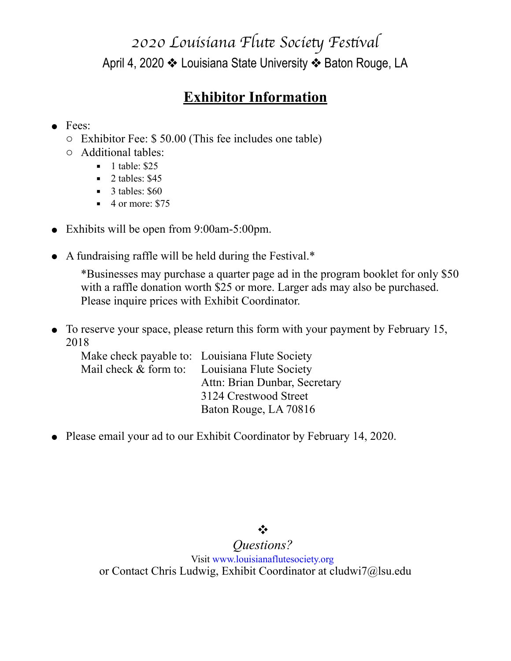## *2020 Louisiana Flu*t *Socie*t *Fes*t*val* April 4, 2020 ❖ Louisiana State University ❖ Baton Rouge, LA

## **Exhibitor Information**

#### • Fees:

- o Exhibitor Fee: \$ 50.00 (This fee includes one table)
- o Additional tables:
	- $\blacksquare$  1 table: \$25
	- $\blacksquare$  2 tables: \$45
	- $\blacksquare$  3 tables: \$60
	- $\blacksquare$  4 or more: \$75
- $\bullet$  Exhibits will be open from 9:00am-5:00pm.
- ! A fundraising raffle will be held during the Festival.\*

\*Businesses may purchase a quarter page ad in the program booklet for only \$50 with a raffle donation worth \$25 or more. Larger ads may also be purchased. Please inquire prices with Exhibit Coordinator.

• To reserve your space, please return this form with your payment by February 15, 2018

|  | Make check payable to: Louisiana Flute Society |
|--|------------------------------------------------|
|  | Mail check & form to: Louisiana Flute Society  |
|  | Attn: Brian Dunbar, Secretary                  |
|  | 3124 Crestwood Street                          |
|  | Baton Rouge, LA 70816                          |

• Please email your ad to our Exhibit Coordinator by February 14, 2020.

## ❖

### *Questions?*

Visit [www.louisianaflutesociety.org](http://www.louisianaflutesociety.org) or Contact Chris Ludwig, Exhibit Coordinator at cludwi7@lsu.edu